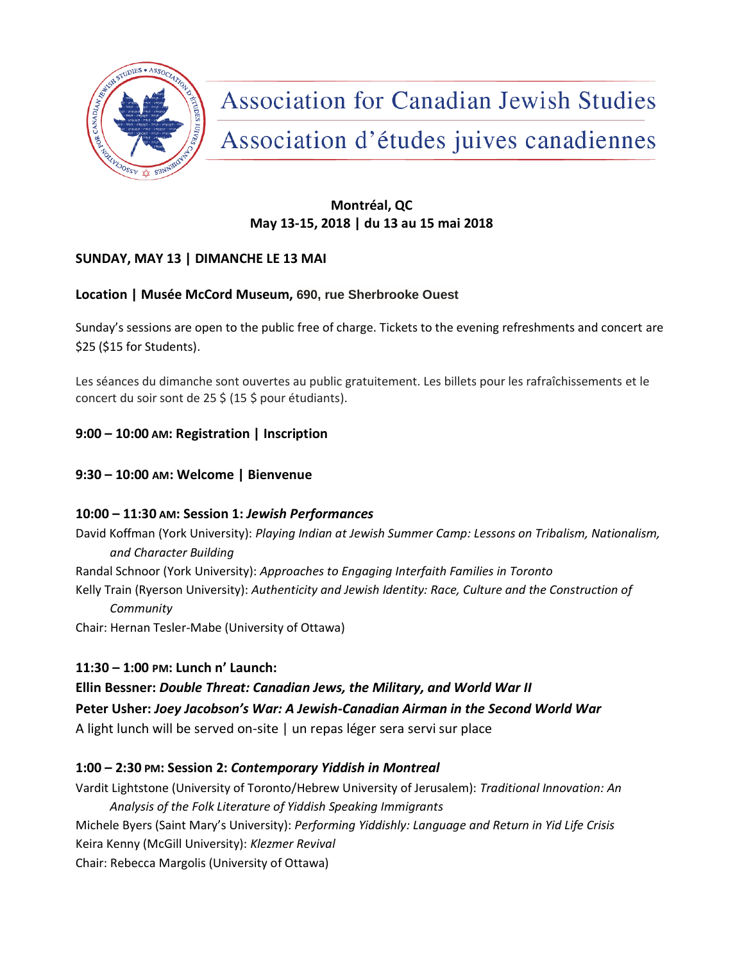

**Association for Canadian Jewish Studies** Association d'études juives canadiennes

# **Montréal, QC May 13-15, 2018 | du 13 au 15 mai 2018**

# **SUNDAY, MAY 13 | DIMANCHE LE 13 MAI**

## **Location | Musée McCord Museum, 690, rue Sherbrooke Ouest**

Sunday's sessions are open to the public free of charge. Tickets to the evening refreshments and concert are \$25 (\$15 for Students).

Les séances du dimanche sont ouvertes au public gratuitement. Les billets pour les rafraîchissements et le concert du soir sont de 25 \$ (15 \$ pour étudiants).

# **9:00 – 10:00 AM: Registration | Inscription**

## **9:30 – 10:00 AM: Welcome | Bienvenue**

## **10:00 – 11:30 AM: Session 1:** *Jewish Performances*

David Koffman (York University): *Playing Indian at Jewish Summer Camp: Lessons on Tribalism, Nationalism, and Character Building*

Randal Schnoor (York University): *Approaches to Engaging Interfaith Families in Toronto*

Kelly Train (Ryerson University): *Authenticity and Jewish Identity: Race, Culture and the Construction of Community*

Chair: Hernan Tesler-Mabe (University of Ottawa)

## **11:30 – 1:00 PM: Lunch n' Launch:**

**Ellin Bessner:** *Double Threat: Canadian Jews, the Military, and World War II* **Peter Usher:** *Joey Jacobson's War: A Jewish-Canadian Airman in the Second World War* A light lunch will be served on-site | un repas léger sera servi sur place

# **1:00 – 2:30 PM: Session 2:** *Contemporary Yiddish in Montreal*

Vardit Lightstone (University of Toronto/Hebrew University of Jerusalem): *Traditional Innovation: An Analysis of the Folk Literature of Yiddish Speaking Immigrants* Michele Byers (Saint Mary's University): *Performing Yiddishly: Language and Return in Yid Life Crisis* Keira Kenny (McGill University): *Klezmer Revival* Chair: Rebecca Margolis (University of Ottawa)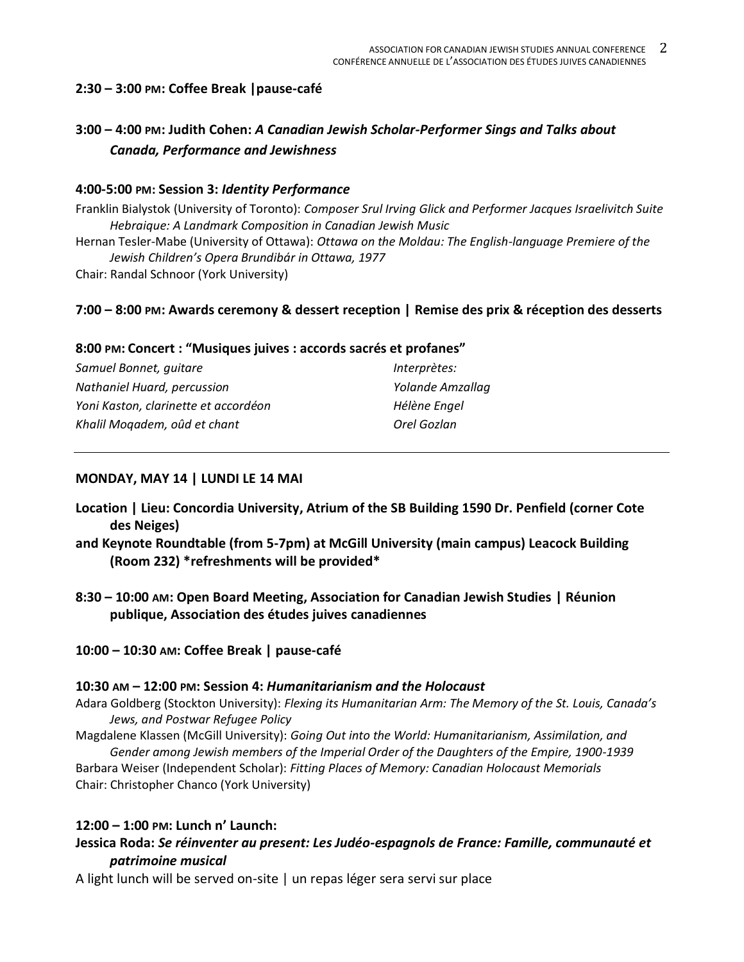## **2:30 – 3:00 PM: Coffee Break |pause-café**

# **3:00 – 4:00 PM: Judith Cohen:** *A Canadian Jewish Scholar-Performer Sings and Talks about Canada, Performance and Jewishness*

#### **4:00-5:00 PM: Session 3:** *Identity Performance*

Franklin Bialystok (University of Toronto): *Composer Srul Irving Glick and Performer Jacques Israelivitch Suite Hebraique: A Landmark Composition in Canadian Jewish Music* Hernan Tesler-Mabe (University of Ottawa): *Ottawa on the Moldau: The English-language Premiere of the* 

*Jewish Children's Opera Brundibár in Ottawa, 1977*

Chair: Randal Schnoor (York University)

### **7:00 – 8:00 PM: Awards ceremony & dessert reception | Remise des prix & réception des desserts**

#### **8:00 PM: Concert : "Musiques juives : accords sacrés et profanes"**

| Samuel Bonnet, quitare               | Interprètes:     |
|--------------------------------------|------------------|
| Nathaniel Huard, percussion          | Yolande Amzallag |
| Yoni Kaston, clarinette et accordéon | Hélène Engel     |
| Khalil Mogadem, oûd et chant         | Orel Gozlan      |

### **MONDAY, MAY 14 | LUNDI LE 14 MAI**

- **Location | Lieu: Concordia University, Atrium of the SB Building 1590 Dr. Penfield (corner Cote des Neiges)**
- **and Keynote Roundtable (from 5-7pm) at McGill University (main campus) Leacock Building (Room 232) \*refreshments will be provided\***
- **8:30 – 10:00 AM: Open Board Meeting, Association for Canadian Jewish Studies | Réunion publique, Association des études juives canadiennes**

#### **10:00 – 10:30 AM: Coffee Break | pause-café**

#### **10:30 AM – 12:00 PM: Session 4:** *Humanitarianism and the Holocaust*

- Adara Goldberg (Stockton University): *Flexing its Humanitarian Arm: The Memory of the St. Louis, Canada's Jews, and Postwar Refugee Policy*
- Magdalene Klassen (McGill University): *Going Out into the World: Humanitarianism, Assimilation, and Gender among Jewish members of the Imperial Order of the Daughters of the Empire, 1900-1939*

Barbara Weiser (Independent Scholar): *Fitting Places of Memory: Canadian Holocaust Memorials* Chair: Christopher Chanco (York University)

#### **12:00 – 1:00 PM: Lunch n' Launch:**

- **Jessica Roda:** *Se réinventer au present: Les Judéo-espagnols de France: Famille, communauté et patrimoine musical*
- A light lunch will be served on-site | un repas léger sera servi sur place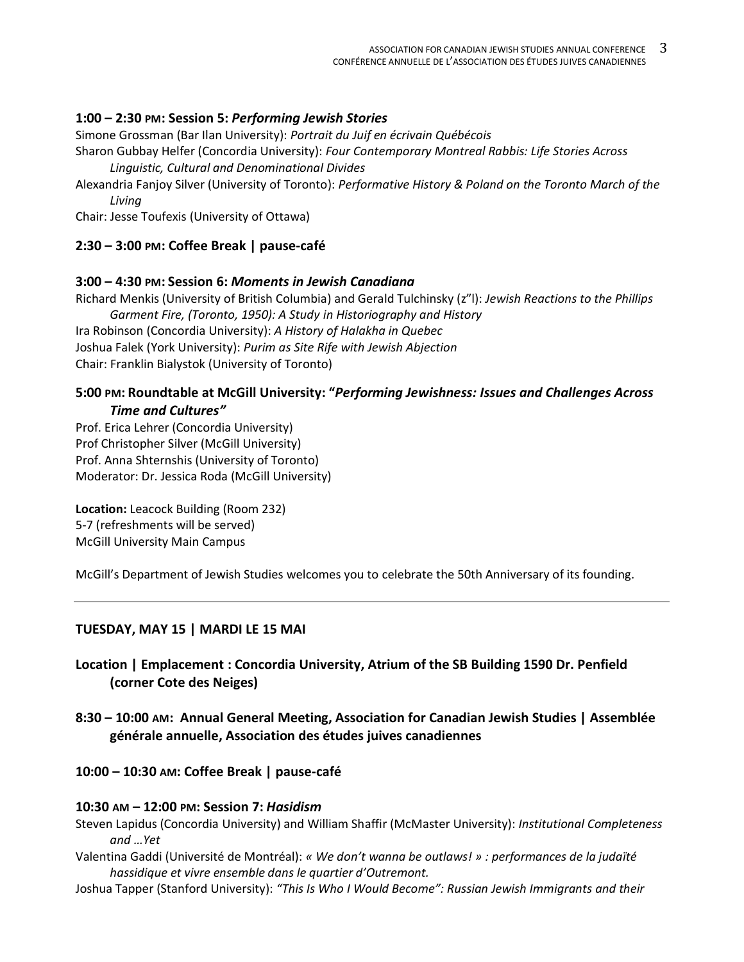### **1:00 – 2:30 PM: Session 5:** *Performing Jewish Stories*

Simone Grossman (Bar Ilan University): *Portrait du Juif en écrivain Québécois*

Sharon Gubbay Helfer (Concordia University): *Four Contemporary Montreal Rabbis: Life Stories Across Linguistic, Cultural and Denominational Divides*

Alexandria Fanjoy Silver (University of Toronto): *Performative History & Poland on the Toronto March of the Living*

Chair: Jesse Toufexis (University of Ottawa)

### **2:30 – 3:00 PM: Coffee Break | pause-café**

#### **3:00 – 4:30 PM: Session 6:** *Moments in Jewish Canadiana*

Richard Menkis (University of British Columbia) and Gerald Tulchinsky (z"l): *Jewish Reactions to the Phillips Garment Fire, (Toronto, 1950): A Study in Historiography and History* Ira Robinson (Concordia University): *A History of Halakha in Quebec* Joshua Falek (York University): *Purim as Site Rife with Jewish Abjection*

Chair: Franklin Bialystok (University of Toronto)

### **5:00 PM: Roundtable at McGill University: "***Performing Jewishness: Issues and Challenges Across Time and Cultures"*

Prof. Erica Lehrer (Concordia University) Prof Christopher Silver (McGill University) Prof. Anna Shternshis (University of Toronto) Moderator: Dr. Jessica Roda (McGill University)

**Location:** Leacock Building (Room 232) 5-7 (refreshments will be served) McGill University Main Campus

McGill's Department of Jewish Studies welcomes you to celebrate the 50th Anniversary of its founding.

#### **TUESDAY, MAY 15 | MARDI LE 15 MAI**

**Location | Emplacement : Concordia University, Atrium of the SB Building 1590 Dr. Penfield (corner Cote des Neiges)**

**8:30 – 10:00 AM: Annual General Meeting, Association for Canadian Jewish Studies | Assemblée générale annuelle, Association des études juives canadiennes**

**10:00 – 10:30 AM: Coffee Break | pause-café**

#### **10:30 AM – 12:00 PM: Session 7:** *Hasidism*

- Steven Lapidus (Concordia University) and William Shaffir (McMaster University): *Institutional Completeness and …Yet*
- Valentina Gaddi (Université de Montréal): *« We don't wanna be outlaws! » : performances de la judaïté hassidique et vivre ensemble dans le quartier d'Outremont.*
- Joshua Tapper (Stanford University): *"This Is Who I Would Become": Russian Jewish Immigrants and their*